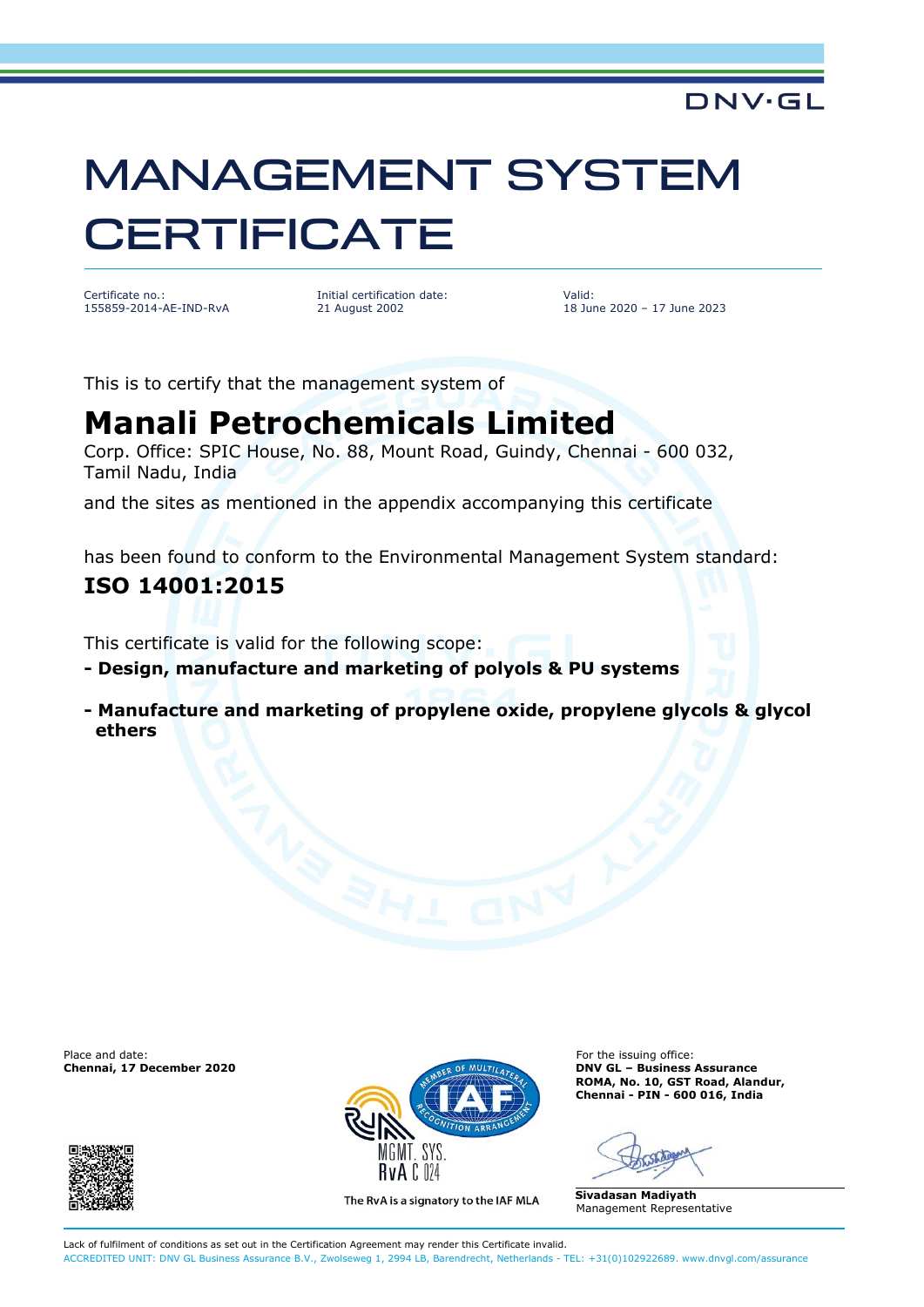# MANAGEMENT SYSTEM **CERTIFICATE**

Certificate no.: 155859-2014-AE-IND-RvA Initial certification date: 21 August 2002

Valid: 18 June 2020 – 17 June 2023

DNV·GL

This is to certify that the management system of

## **Manali Petrochemicals Limited**

Corp. Office: SPIC House, No. 88, Mount Road, Guindy, Chennai - 600 032, Tamil Nadu, India

and the sites as mentioned in the appendix accompanying this certificate

has been found to conform to the Environmental Management System standard:

### **ISO 14001:2015**

This certificate is valid for the following scope:

**- Design, manufacture and marketing of polyols & PU systems**

**- Manufacture and marketing of propylene oxide, propylene glycols & glycol ethers**





The RvA is a signatory to the IAF MLA

**DNV GL – Business Assurance ROMA, No. 10, GST Road, Alandur, Chennai - PIN - 600 016, India**

**Sivadasan Madiyath** Management Representative

Lack of fulfilment of conditions as set out in the Certification Agreement may render this Certificate invalid. ACCREDITED UNIT: DNV GL Business Assurance B.V., Zwolseweg 1, 2994 LB, Barendrecht, Netherlands - TEL: +31(0)102922689. www.dnvgl.com/assurance